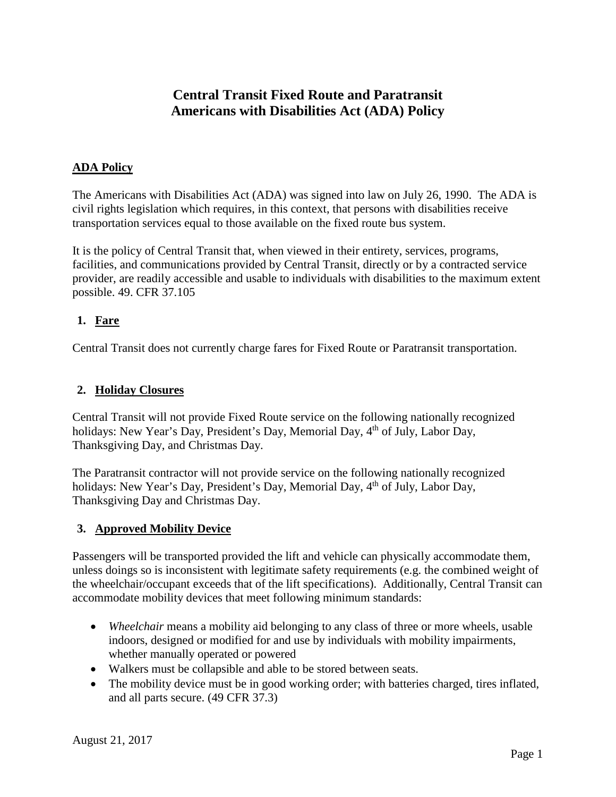# **Central Transit Fixed Route and Paratransit Americans with Disabilities Act (ADA) Policy**

# **ADA Policy**

The Americans with Disabilities Act (ADA) was signed into law on July 26, 1990. The ADA is civil rights legislation which requires, in this context, that persons with disabilities receive transportation services equal to those available on the fixed route bus system.

It is the policy of Central Transit that, when viewed in their entirety, services, programs, facilities, and communications provided by Central Transit, directly or by a contracted service provider, are readily accessible and usable to individuals with disabilities to the maximum extent possible. 49. CFR 37.105

# **1. Fare**

Central Transit does not currently charge fares for Fixed Route or Paratransit transportation.

# **2. Holiday Closures**

Central Transit will not provide Fixed Route service on the following nationally recognized holidays: New Year's Day, President's Day, Memorial Day, 4<sup>th</sup> of July, Labor Day, Thanksgiving Day, and Christmas Day.

The Paratransit contractor will not provide service on the following nationally recognized holidays: New Year's Day, President's Day, Memorial Day, 4<sup>th</sup> of July, Labor Day, Thanksgiving Day and Christmas Day.

# **3. Approved Mobility Device**

Passengers will be transported provided the lift and vehicle can physically accommodate them, unless doings so is inconsistent with legitimate safety requirements (e.g. the combined weight of the wheelchair/occupant exceeds that of the lift specifications). Additionally, Central Transit can accommodate mobility devices that meet following minimum standards:

- *Wheelchair* means a mobility aid belonging to any class of three or more wheels, usable indoors, designed or modified for and use by individuals with mobility impairments, whether manually operated or powered
- Walkers must be collapsible and able to be stored between seats.
- The mobility device must be in good working order; with batteries charged, tires inflated, and all parts secure. (49 CFR 37.3)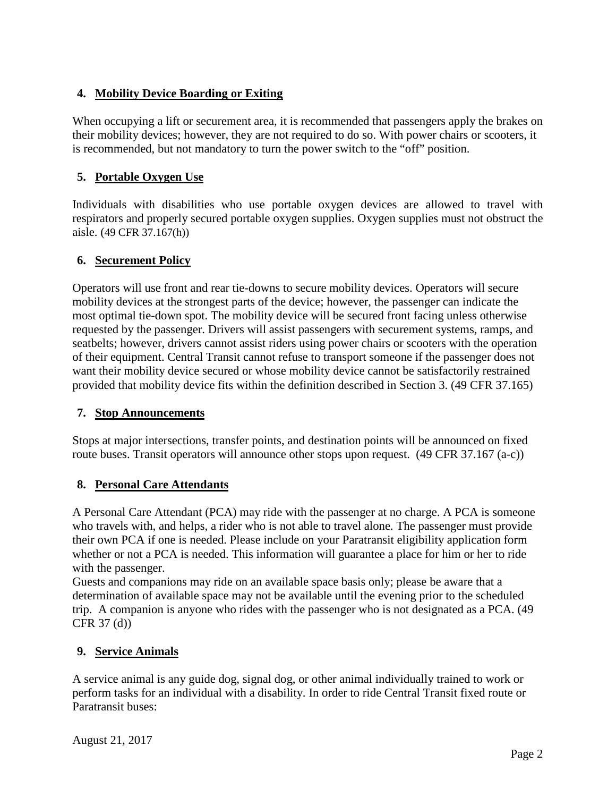# **4. Mobility Device Boarding or Exiting**

When occupying a lift or securement area, it is recommended that passengers apply the brakes on their mobility devices; however, they are not required to do so. With power chairs or scooters, it is recommended, but not mandatory to turn the power switch to the "off" position.

# **5. Portable Oxygen Use**

Individuals with disabilities who use portable oxygen devices are allowed to travel with respirators and properly secured portable oxygen supplies. Oxygen supplies must not obstruct the aisle. (49 CFR 37.167(h))

# **6. Securement Policy**

Operators will use front and rear tie-downs to secure mobility devices. Operators will secure mobility devices at the strongest parts of the device; however, the passenger can indicate the most optimal tie-down spot. The mobility device will be secured front facing unless otherwise requested by the passenger. Drivers will assist passengers with securement systems, ramps, and seatbelts; however, drivers cannot assist riders using power chairs or scooters with the operation of their equipment. Central Transit cannot refuse to transport someone if the passenger does not want their mobility device secured or whose mobility device cannot be satisfactorily restrained provided that mobility device fits within the definition described in Section 3. (49 CFR 37.165)

#### **7. Stop Announcements**

Stops at major intersections, transfer points, and destination points will be announced on fixed route buses. Transit operators will announce other stops upon request. (49 CFR 37.167 (a-c))

# **8. Personal Care Attendants**

A Personal Care Attendant (PCA) may ride with the passenger at no charge. A PCA is someone who travels with, and helps, a rider who is not able to travel alone. The passenger must provide their own PCA if one is needed. Please include on your Paratransit eligibility application form whether or not a PCA is needed. This information will guarantee a place for him or her to ride with the passenger.

Guests and companions may ride on an available space basis only; please be aware that a determination of available space may not be available until the evening prior to the scheduled trip. A companion is anyone who rides with the passenger who is not designated as a PCA. (49 CFR 37 (d))

# **9. Service Animals**

A service animal is any guide dog, signal dog, or other animal individually trained to work or perform tasks for an individual with a disability. In order to ride Central Transit fixed route or Paratransit buses: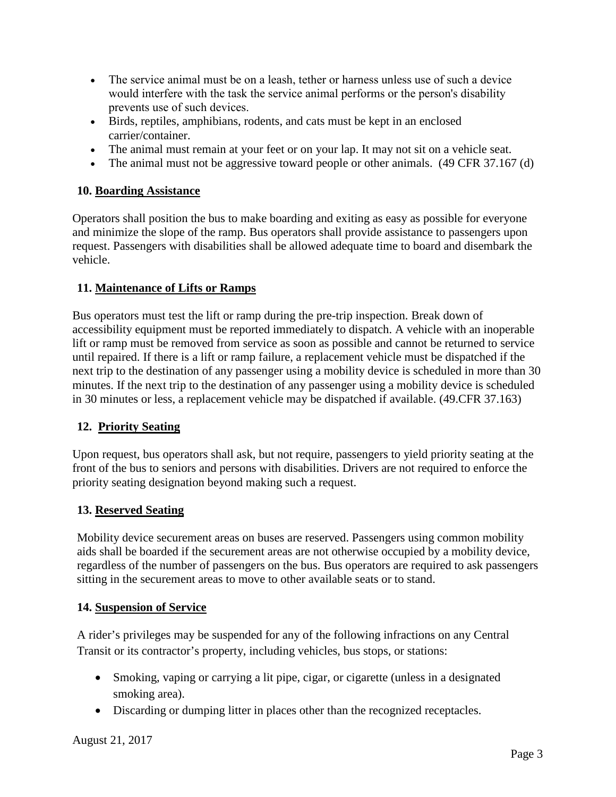- The service animal must be on a leash, tether or harness unless use of such a device would interfere with the task the service animal performs or the person's disability prevents use of such devices.
- Birds, reptiles, amphibians, rodents, and cats must be kept in an enclosed carrier/container.
- The animal must remain at your feet or on your lap. It may not sit on a vehicle seat.
- The animal must not be aggressive toward people or other animals. (49 CFR 37.167 (d)

# **10. Boarding Assistance**

Operators shall position the bus to make boarding and exiting as easy as possible for everyone and minimize the slope of the ramp. Bus operators shall provide assistance to passengers upon request. Passengers with disabilities shall be allowed adequate time to board and disembark the vehicle.

# **11. Maintenance of Lifts or Ramps**

Bus operators must test the lift or ramp during the pre-trip inspection. Break down of accessibility equipment must be reported immediately to dispatch. A vehicle with an inoperable lift or ramp must be removed from service as soon as possible and cannot be returned to service until repaired. If there is a lift or ramp failure, a replacement vehicle must be dispatched if the next trip to the destination of any passenger using a mobility device is scheduled in more than 30 minutes. If the next trip to the destination of any passenger using a mobility device is scheduled in 30 minutes or less, a replacement vehicle may be dispatched if available. (49.CFR 37.163)

# **12. Priority Seating**

Upon request, bus operators shall ask, but not require, passengers to yield priority seating at the front of the bus to seniors and persons with disabilities. Drivers are not required to enforce the priority seating designation beyond making such a request.

# **13. Reserved Seating**

Mobility device securement areas on buses are reserved. Passengers using common mobility aids shall be boarded if the securement areas are not otherwise occupied by a mobility device, regardless of the number of passengers on the bus. Bus operators are required to ask passengers sitting in the securement areas to move to other available seats or to stand.

# **14. Suspension of Service**

A rider's privileges may be suspended for any of the following infractions on any Central Transit or its contractor's property, including vehicles, bus stops, or stations:

- Smoking, vaping or carrying a lit pipe, cigar, or cigarette (unless in a designated smoking area).
- Discarding or dumping litter in places other than the recognized receptacles.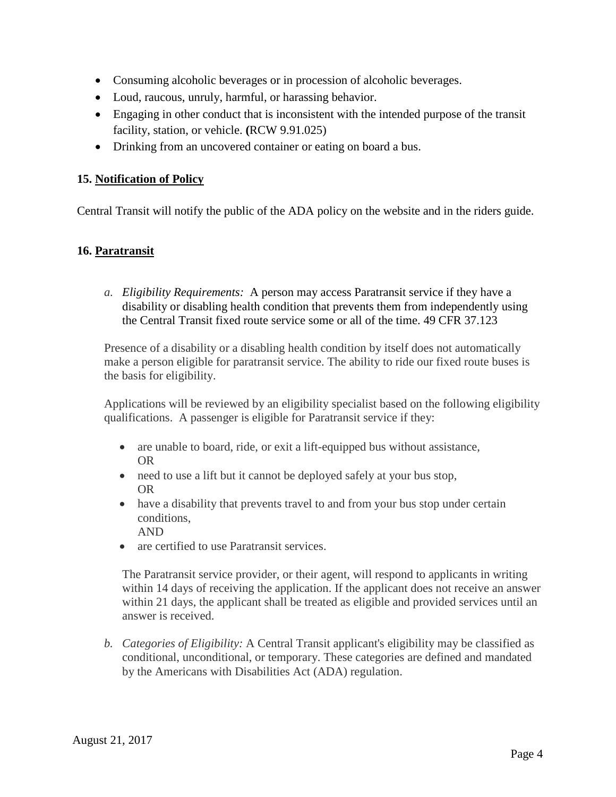- Consuming alcoholic beverages or in procession of alcoholic beverages.
- Loud, raucous, unruly, harmful, or harassing behavior.
- Engaging in other conduct that is inconsistent with the intended purpose of the transit facility, station, or vehicle. **(**RCW 9.91.025)
- Drinking from an uncovered container or eating on board a bus.

# **15. Notification of Policy**

Central Transit will notify the public of the ADA policy on the website and in the riders guide.

# **16. Paratransit**

*a. Eligibility Requirements:* A person may access Paratransit service if they have a disability or disabling health condition that prevents them from independently using the Central Transit fixed route service some or all of the time. 49 CFR 37.123

Presence of a disability or a disabling health condition by itself does not automatically make a person eligible for paratransit service. The ability to ride our fixed route buses is the basis for eligibility.

Applications will be reviewed by an eligibility specialist based on the following eligibility qualifications. A passenger is eligible for Paratransit service if they:

- are unable to board, ride, or exit a lift-equipped bus without assistance, OR
- need to use a lift but it cannot be deployed safely at your bus stop, OR
- have a disability that prevents travel to and from your bus stop under certain conditions, AND
- are certified to use Paratransit services.

The Paratransit service provider, or their agent, will respond to applicants in writing within 14 days of receiving the application. If the applicant does not receive an answer within 21 days, the applicant shall be treated as eligible and provided services until an answer is received.

*b. Categories of Eligibility:* A Central Transit applicant's eligibility may be classified as conditional, unconditional, or temporary. These categories are defined and mandated by the Americans with Disabilities Act (ADA) regulation.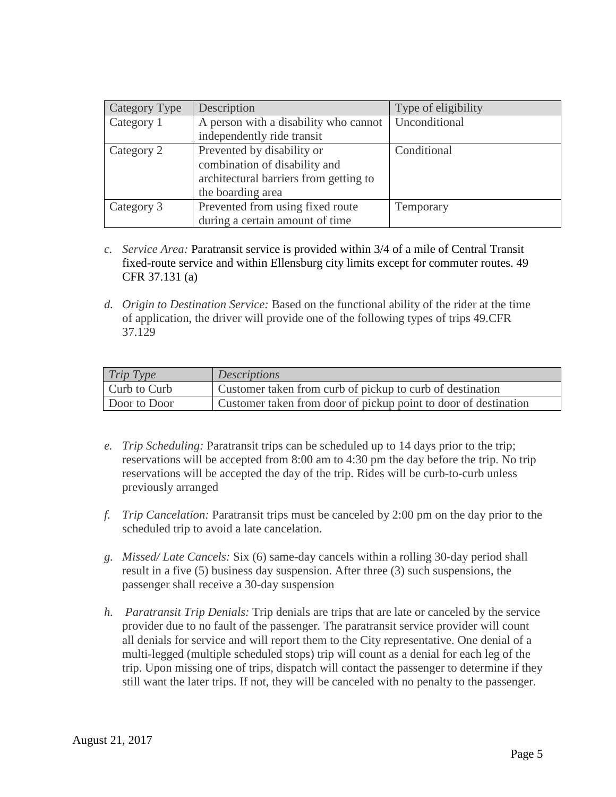| Category Type | Description                            | Type of eligibility |
|---------------|----------------------------------------|---------------------|
| Category 1    | A person with a disability who cannot  | Unconditional       |
|               | independently ride transit             |                     |
| Category 2    | Prevented by disability or             | Conditional         |
|               | combination of disability and          |                     |
|               | architectural barriers from getting to |                     |
|               | the boarding area                      |                     |
| Category 3    | Prevented from using fixed route       | Temporary           |
|               | during a certain amount of time        |                     |

- *c. Service Area:* Paratransit service is provided within 3/4 of a mile of Central Transit fixed-route service and within Ellensburg city limits except for commuter routes. 49 CFR 37.131 (a)
- *d. Origin to Destination Service:* Based on the functional ability of the rider at the time of application, the driver will provide one of the following types of trips 49.CFR 37.129

| Trip Type    | <i>Descriptions</i>                                             |
|--------------|-----------------------------------------------------------------|
| Curb to Curb | Customer taken from curb of pickup to curb of destination       |
| Door to Door | Customer taken from door of pickup point to door of destination |

- *e. Trip Scheduling:* Paratransit trips can be scheduled up to 14 days prior to the trip; reservations will be accepted from 8:00 am to 4:30 pm the day before the trip. No trip reservations will be accepted the day of the trip. Rides will be curb-to-curb unless previously arranged
- *f. Trip Cancelation:* Paratransit trips must be canceled by 2:00 pm on the day prior to the scheduled trip to avoid a late cancelation.
- *g. Missed/ Late Cancels:* Six (6) same-day cancels within a rolling 30-day period shall result in a five (5) business day suspension. After three (3) such suspensions, the passenger shall receive a 30-day suspension
- *h. Paratransit Trip Denials:* Trip denials are trips that are late or canceled by the service provider due to no fault of the passenger*.* The paratransit service provider will count all denials for service and will report them to the City representative. One denial of a multi-legged (multiple scheduled stops) trip will count as a denial for each leg of the trip. Upon missing one of trips, dispatch will contact the passenger to determine if they still want the later trips. If not, they will be canceled with no penalty to the passenger.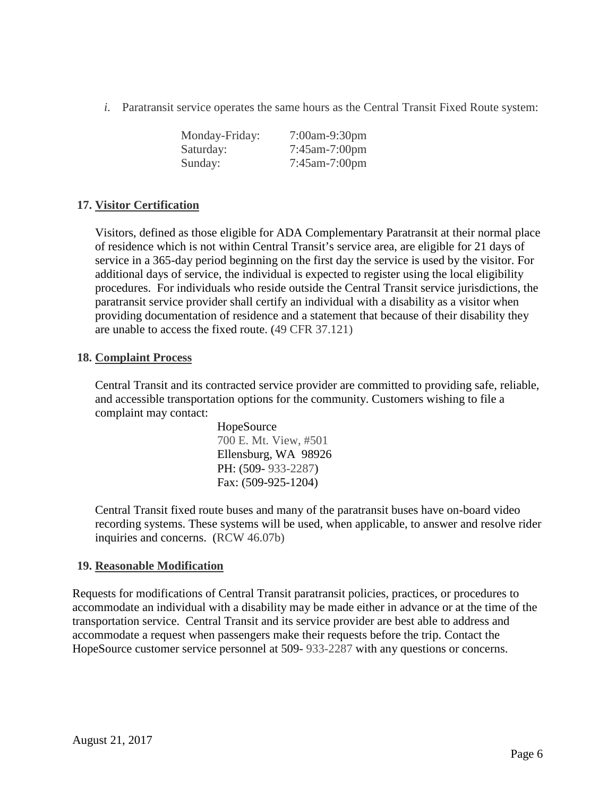*i.* Paratransit service operates the same hours as the Central Transit Fixed Route system:

| Monday-Friday: | 7:00am-9:30pm        |
|----------------|----------------------|
| Saturday:      | $7:45$ am- $7:00$ pm |
| Sunday:        | $7:45$ am- $7:00$ pm |

#### **17. Visitor Certification**

Visitors, defined as those eligible for ADA Complementary Paratransit at their normal place of residence which is not within Central Transit's service area, are eligible for 21 days of service in a 365-day period beginning on the first day the service is used by the visitor. For additional days of service, the individual is expected to register using the local eligibility procedures. For individuals who reside outside the Central Transit service jurisdictions, the paratransit service provider shall certify an individual with a disability as a visitor when providing documentation of residence and a statement that because of their disability they are unable to access the fixed route. (49 CFR 37.121)

#### **18. Complaint Process**

Central Transit and its contracted service provider are committed to providing safe, reliable, and accessible transportation options for the community. Customers wishing to file a complaint may contact:

> HopeSource 700 E. Mt. View, #501 Ellensburg, WA 98926 PH: (509- 933-2287) Fax: (509-925-1204)

Central Transit fixed route buses and many of the paratransit buses have on-board video recording systems. These systems will be used, when applicable, to answer and resolve rider inquiries and concerns. (RCW 46.07b)

#### **19. Reasonable Modification**

Requests for modifications of Central Transit paratransit policies, practices, or procedures to accommodate an individual with a disability may be made either in advance or at the time of the transportation service. Central Transit and its service provider are best able to address and accommodate a request when passengers make their requests before the trip. Contact the HopeSource customer service personnel at 509- 933-2287 with any questions or concerns.